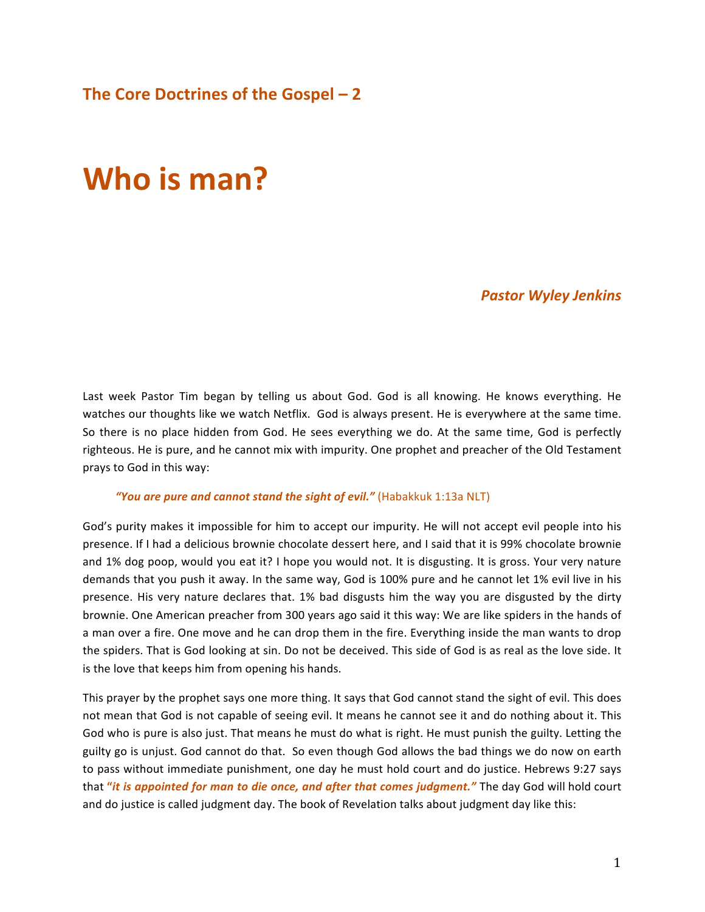# **Who is man?**

*Pastor Wyley Jenkins*

Last week Pastor Tim began by telling us about God. God is all knowing. He knows everything. He watches our thoughts like we watch Netflix. God is always present. He is everywhere at the same time. So there is no place hidden from God. He sees everything we do. At the same time, God is perfectly righteous. He is pure, and he cannot mix with impurity. One prophet and preacher of the Old Testament prays to God in this way:

#### "You are pure and cannot stand the sight of evil." (Habakkuk 1:13a NLT)

God's purity makes it impossible for him to accept our impurity. He will not accept evil people into his presence. If I had a delicious brownie chocolate dessert here, and I said that it is 99% chocolate brownie and 1% dog poop, would you eat it? I hope you would not. It is disgusting. It is gross. Your very nature demands that you push it away. In the same way, God is 100% pure and he cannot let 1% evil live in his presence. His very nature declares that. 1% bad disgusts him the way you are disgusted by the dirty brownie. One American preacher from 300 years ago said it this way: We are like spiders in the hands of a man over a fire. One move and he can drop them in the fire. Everything inside the man wants to drop the spiders. That is God looking at sin. Do not be deceived. This side of God is as real as the love side. It is the love that keeps him from opening his hands.

This prayer by the prophet says one more thing. It says that God cannot stand the sight of evil. This does not mean that God is not capable of seeing evil. It means he cannot see it and do nothing about it. This God who is pure is also just. That means he must do what is right. He must punish the guilty. Letting the guilty go is unjust. God cannot do that. So even though God allows the bad things we do now on earth to pass without immediate punishment, one day he must hold court and do justice. Hebrews 9:27 says that "*it is appointed for man to die once, and after that comes judgment."* The day God will hold court and do justice is called judgment day. The book of Revelation talks about judgment day like this: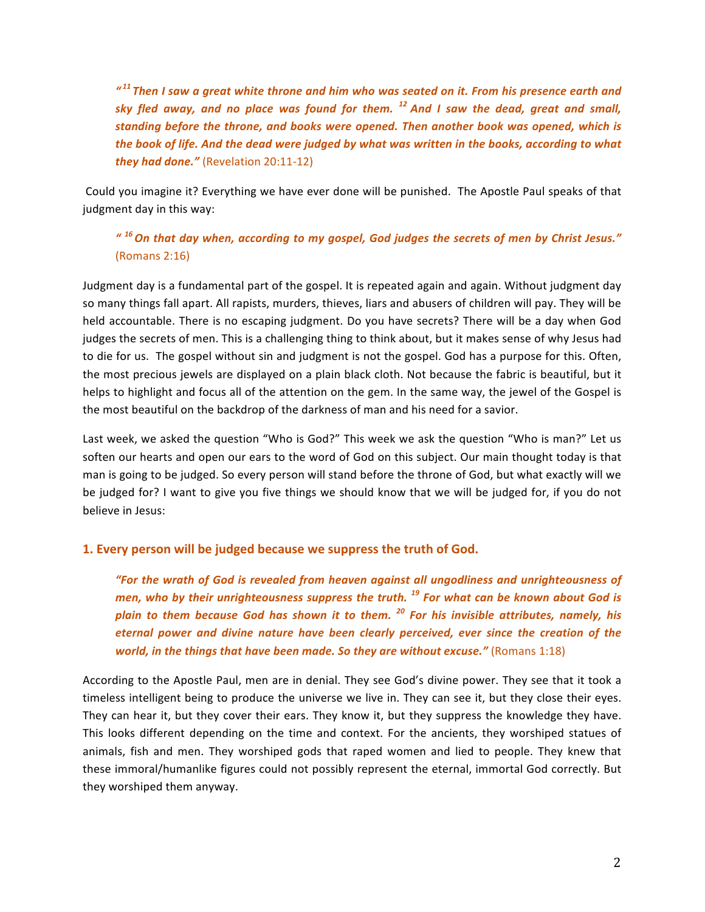<sup>"11</sup> Then I saw a great white throne and him who was seated on it. From his presence earth and *sky* fled away, and no place was found for them. <sup>12</sup> And I saw the dead, great and small, standing before the throne, and books were opened. Then another book was opened, which is the book of life. And the dead were judged by what was written in the books, according to what *they had done."* (Revelation 20:11-12)

Could you imagine it? Everything we have ever done will be punished. The Apostle Paul speaks of that judgment day in this way:

## *" 16 On that day when, according to my gospel, God judges the secrets of men by Christ Jesus."* (Romans 2:16)

Judgment day is a fundamental part of the gospel. It is repeated again and again. Without judgment day so many things fall apart. All rapists, murders, thieves, liars and abusers of children will pay. They will be held accountable. There is no escaping judgment. Do you have secrets? There will be a day when God judges the secrets of men. This is a challenging thing to think about, but it makes sense of why Jesus had to die for us. The gospel without sin and judgment is not the gospel. God has a purpose for this. Often, the most precious jewels are displayed on a plain black cloth. Not because the fabric is beautiful, but it helps to highlight and focus all of the attention on the gem. In the same way, the jewel of the Gospel is the most beautiful on the backdrop of the darkness of man and his need for a savior.

Last week, we asked the question "Who is God?" This week we ask the question "Who is man?" Let us soften our hearts and open our ears to the word of God on this subject. Our main thought today is that man is going to be judged. So every person will stand before the throne of God, but what exactly will we be judged for? I want to give you five things we should know that we will be judged for, if you do not believe in Jesus:

## **1. Every person will be judged because we suppress the truth of God.**

"For the wrath of God is revealed from heaven against all ungodliness and unrighteousness of *men, who by their unrighteousness suppress the truth.* <sup>19</sup> For what can be known about God is *plain* to them because God has shown it to them.<sup>20</sup> For his invisible attributes, namely, his eternal power and divine nature have been clearly perceived, ever since the creation of the *world, in the things that have been made. So they are without excuse."* (Romans 1:18)

According to the Apostle Paul, men are in denial. They see God's divine power. They see that it took a timeless intelligent being to produce the universe we live in. They can see it, but they close their eyes. They can hear it, but they cover their ears. They know it, but they suppress the knowledge they have. This looks different depending on the time and context. For the ancients, they worshiped statues of animals, fish and men. They worshiped gods that raped women and lied to people. They knew that these immoral/humanlike figures could not possibly represent the eternal, immortal God correctly. But they worshiped them anyway.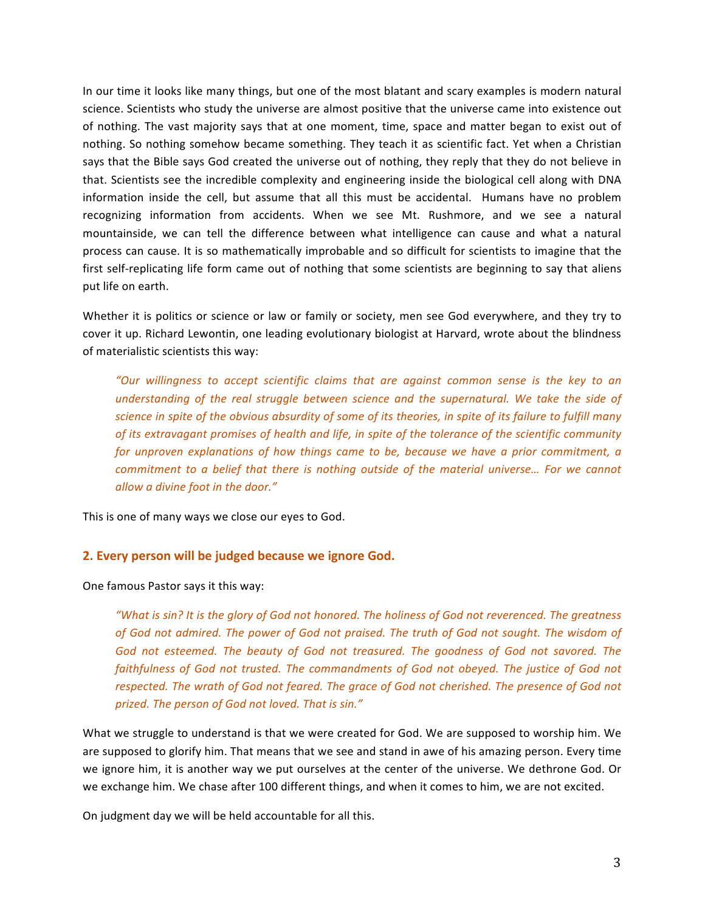In our time it looks like many things, but one of the most blatant and scary examples is modern natural science. Scientists who study the universe are almost positive that the universe came into existence out of nothing. The vast majority says that at one moment, time, space and matter began to exist out of nothing. So nothing somehow became something. They teach it as scientific fact. Yet when a Christian says that the Bible says God created the universe out of nothing, they reply that they do not believe in that. Scientists see the incredible complexity and engineering inside the biological cell along with DNA information inside the cell, but assume that all this must be accidental. Humans have no problem recognizing information from accidents. When we see Mt. Rushmore, and we see a natural mountainside, we can tell the difference between what intelligence can cause and what a natural process can cause. It is so mathematically improbable and so difficult for scientists to imagine that the first self-replicating life form came out of nothing that some scientists are beginning to say that aliens put life on earth.

Whether it is politics or science or law or family or society, men see God everywhere, and they try to cover it up. Richard Lewontin, one leading evolutionary biologist at Harvard, wrote about the blindness of materialistic scientists this way:

"Our willingness to accept scientific claims that are against common sense is the key to an understanding of the real struggle between science and the supernatural. We take the side of science in spite of the obvious absurdity of some of its theories, in spite of its failure to fulfill many *of* its extravagant promises of health and life, in spite of the tolerance of the scientific community *for unproven explanations of how things came to be, because we have a prior commitment, a commitment to a belief that there is nothing outside of the material universe... For we cannot allow a divine foot in the door."*

This is one of many ways we close our eyes to God.

### **2. Every person will be judged because we ignore God.**

One famous Pastor says it this way:

*"What is sin?* It is the glory of God not honored. The holiness of God not reverenced. The greatness of God not admired. The power of God not praised. The truth of God not sought. The wisdom of God not esteemed. The beauty of God not treasured. The goodness of God not savored. The *faithfulness of God not trusted. The commandments of God not obeyed. The justice of God not* respected. The wrath of God not feared. The grace of God not cherished. The presence of God not prized. The person of God not loved. That is sin."

What we struggle to understand is that we were created for God. We are supposed to worship him. We are supposed to glorify him. That means that we see and stand in awe of his amazing person. Every time we ignore him, it is another way we put ourselves at the center of the universe. We dethrone God. Or we exchange him. We chase after 100 different things, and when it comes to him, we are not excited.

On judgment day we will be held accountable for all this.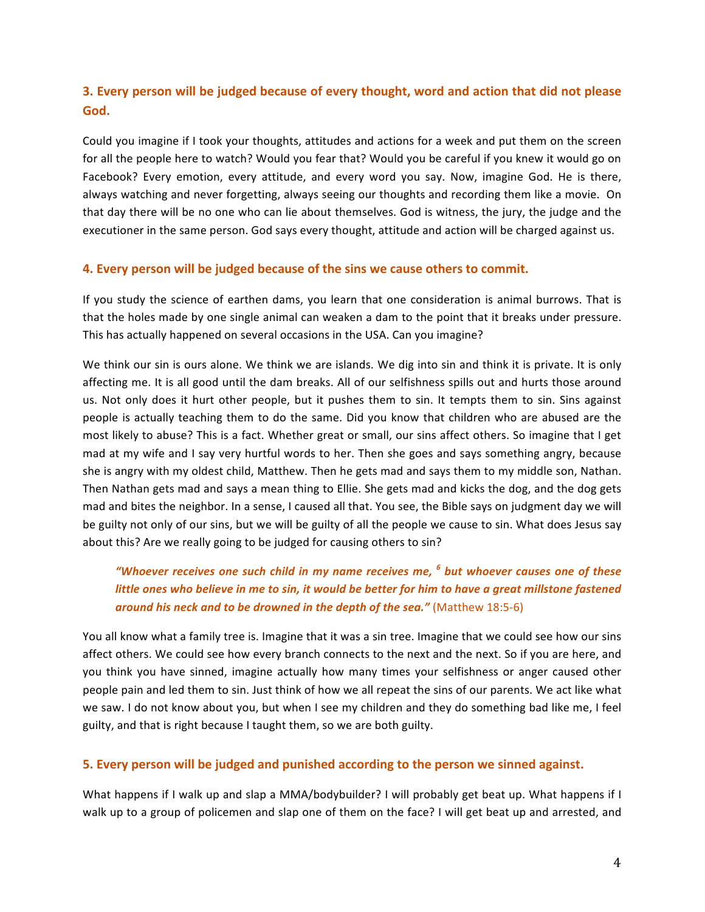## **3.** Every person will be judged because of every thought, word and action that did not please God.

Could you imagine if I took your thoughts, attitudes and actions for a week and put them on the screen for all the people here to watch? Would you fear that? Would you be careful if you knew it would go on Facebook? Every emotion, every attitude, and every word you say. Now, imagine God. He is there, always watching and never forgetting, always seeing our thoughts and recording them like a movie. On that day there will be no one who can lie about themselves. God is witness, the jury, the judge and the executioner in the same person. God says every thought, attitude and action will be charged against us.

### **4. Every person will be judged because of the sins we cause others to commit.**

If you study the science of earthen dams, you learn that one consideration is animal burrows. That is that the holes made by one single animal can weaken a dam to the point that it breaks under pressure. This has actually happened on several occasions in the USA. Can you imagine?

We think our sin is ours alone. We think we are islands. We dig into sin and think it is private. It is only affecting me. It is all good until the dam breaks. All of our selfishness spills out and hurts those around us. Not only does it hurt other people, but it pushes them to sin. It tempts them to sin. Sins against people is actually teaching them to do the same. Did you know that children who are abused are the most likely to abuse? This is a fact. Whether great or small, our sins affect others. So imagine that I get mad at my wife and I say very hurtful words to her. Then she goes and says something angry, because she is angry with my oldest child, Matthew. Then he gets mad and says them to my middle son, Nathan. Then Nathan gets mad and says a mean thing to Ellie. She gets mad and kicks the dog, and the dog gets mad and bites the neighbor. In a sense, I caused all that. You see, the Bible says on judgment day we will be guilty not only of our sins, but we will be guilty of all the people we cause to sin. What does Jesus say about this? Are we really going to be judged for causing others to sin?

## *"Whoever receives one such child in my name receives me, <sup>6</sup> but whoever causes one of these little* ones who believe in me to sin, it would be better for him to have a great millstone fastened around his neck and to be drowned in the depth of the sea." (Matthew 18:5-6)

You all know what a family tree is. Imagine that it was a sin tree. Imagine that we could see how our sins affect others. We could see how every branch connects to the next and the next. So if you are here, and you think you have sinned, imagine actually how many times your selfishness or anger caused other people pain and led them to sin. Just think of how we all repeat the sins of our parents. We act like what we saw. I do not know about you, but when I see my children and they do something bad like me, I feel guilty, and that is right because I taught them, so we are both guilty.

### **5.** Every person will be judged and punished according to the person we sinned against.

What happens if I walk up and slap a MMA/bodybuilder? I will probably get beat up. What happens if I walk up to a group of policemen and slap one of them on the face? I will get beat up and arrested, and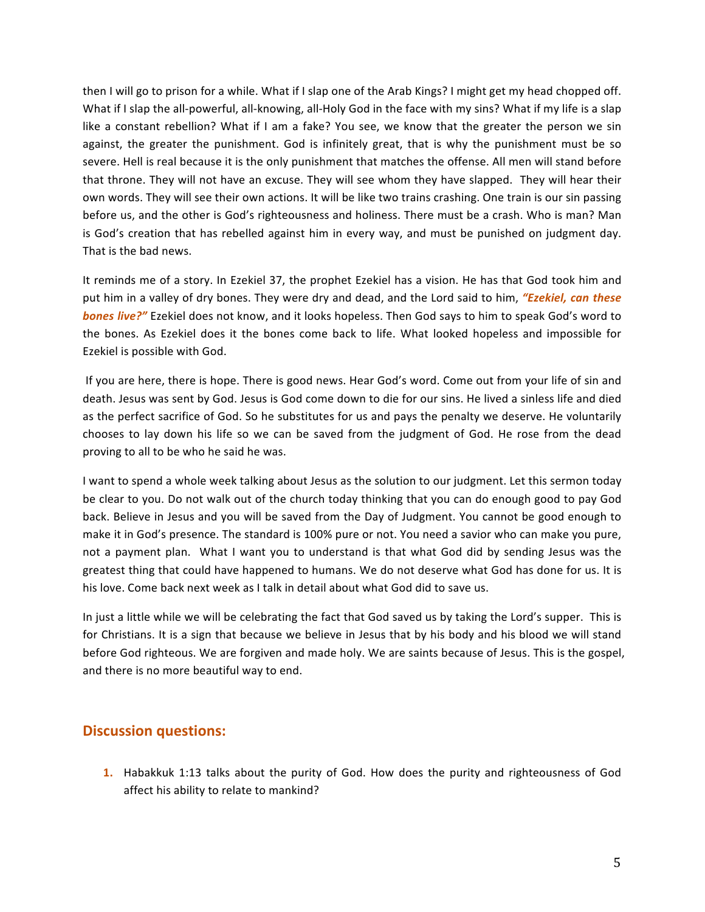then I will go to prison for a while. What if I slap one of the Arab Kings? I might get my head chopped off. What if I slap the all-powerful, all-knowing, all-Holy God in the face with my sins? What if my life is a slap like a constant rebellion? What if I am a fake? You see, we know that the greater the person we sin against, the greater the punishment. God is infinitely great, that is why the punishment must be so severe. Hell is real because it is the only punishment that matches the offense. All men will stand before that throne. They will not have an excuse. They will see whom they have slapped. They will hear their own words. They will see their own actions. It will be like two trains crashing. One train is our sin passing before us, and the other is God's righteousness and holiness. There must be a crash. Who is man? Man is God's creation that has rebelled against him in every way, and must be punished on judgment day. That is the bad news.

It reminds me of a story. In Ezekiel 37, the prophet Ezekiel has a vision. He has that God took him and put him in a valley of dry bones. They were dry and dead, and the Lord said to him, "Ezekiel, can these **bones live?"** Ezekiel does not know, and it looks hopeless. Then God says to him to speak God's word to the bones. As Ezekiel does it the bones come back to life. What looked hopeless and impossible for Ezekiel is possible with God.

If you are here, there is hope. There is good news. Hear God's word. Come out from your life of sin and death. Jesus was sent by God. Jesus is God come down to die for our sins. He lived a sinless life and died as the perfect sacrifice of God. So he substitutes for us and pays the penalty we deserve. He voluntarily chooses to lay down his life so we can be saved from the judgment of God. He rose from the dead proving to all to be who he said he was.

I want to spend a whole week talking about Jesus as the solution to our judgment. Let this sermon today be clear to you. Do not walk out of the church today thinking that you can do enough good to pay God back. Believe in Jesus and you will be saved from the Day of Judgment. You cannot be good enough to make it in God's presence. The standard is 100% pure or not. You need a savior who can make you pure, not a payment plan. What I want you to understand is that what God did by sending Jesus was the greatest thing that could have happened to humans. We do not deserve what God has done for us. It is his love. Come back next week as I talk in detail about what God did to save us.

In just a little while we will be celebrating the fact that God saved us by taking the Lord's supper. This is for Christians. It is a sign that because we believe in Jesus that by his body and his blood we will stand before God righteous. We are forgiven and made holy. We are saints because of Jesus. This is the gospel, and there is no more beautiful way to end.

## **Discussion questions:**

**1.** Habakkuk 1:13 talks about the purity of God. How does the purity and righteousness of God affect his ability to relate to mankind?